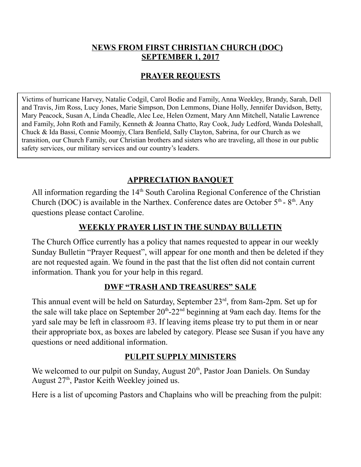#### **NEWS FROM FIRST CHRISTIAN CHURCH (DOC) SEPTEMBER 1, 2017**

## **PRAYER REQUESTS**

Victims of hurricane Harvey, Natalie Codgil, Carol Bodie and Family, Anna Weekley, Brandy, Sarah, Dell and Travis, Jim Ross, Lucy Jones, Marie Simpson, Don Lemmons, Diane Holly, Jennifer Davidson, Betty, Mary Peacock, Susan A, Linda Cheadle, Alec Lee, Helen Ozment, Mary Ann Mitchell, Natalie Lawrence and Family, John Roth and Family, Kenneth & Joanna Chatto, Ray Cook, Judy Ledford, Wanda Doleshall, Chuck & Ida Bassi, Connie Moomjy, Clara Benfield, Sally Clayton, Sabrina, for our Church as we transition, our Church Family, our Christian brothers and sisters who are traveling, all those in our public safety services, our military services and our country's leaders.

# **APPRECIATION BANQUET**

All information regarding the  $14<sup>th</sup>$  South Carolina Regional Conference of the Christian Church (DOC) is available in the Narthex. Conference dates are October  $5<sup>th</sup>$ -  $8<sup>th</sup>$ . Any questions please contact Caroline.

### **WEEKLY PRAYER LIST IN THE SUNDAY BULLETIN**

The Church Office currently has a policy that names requested to appear in our weekly Sunday Bulletin "Prayer Request", will appear for one month and then be deleted if they are not requested again. We found in the past that the list often did not contain current information. Thank you for your help in this regard.

### **DWF "TRASH AND TREASURES" SALE**

This annual event will be held on Saturday, September  $23<sup>rd</sup>$ , from 8am-2pm. Set up for the sale will take place on September  $20<sup>th</sup>$ -22<sup>nd</sup> beginning at 9am each day. Items for the yard sale may be left in classroom #3. If leaving items please try to put them in or near their appropriate box, as boxes are labeled by category. Please see Susan if you have any questions or need additional information.

### **PULPIT SUPPLY MINISTERS**

We welcomed to our pulpit on Sunday, August 20<sup>th</sup>, Pastor Joan Daniels. On Sunday August 27<sup>th</sup>, Pastor Keith Weekley joined us.

Here is a list of upcoming Pastors and Chaplains who will be preaching from the pulpit: